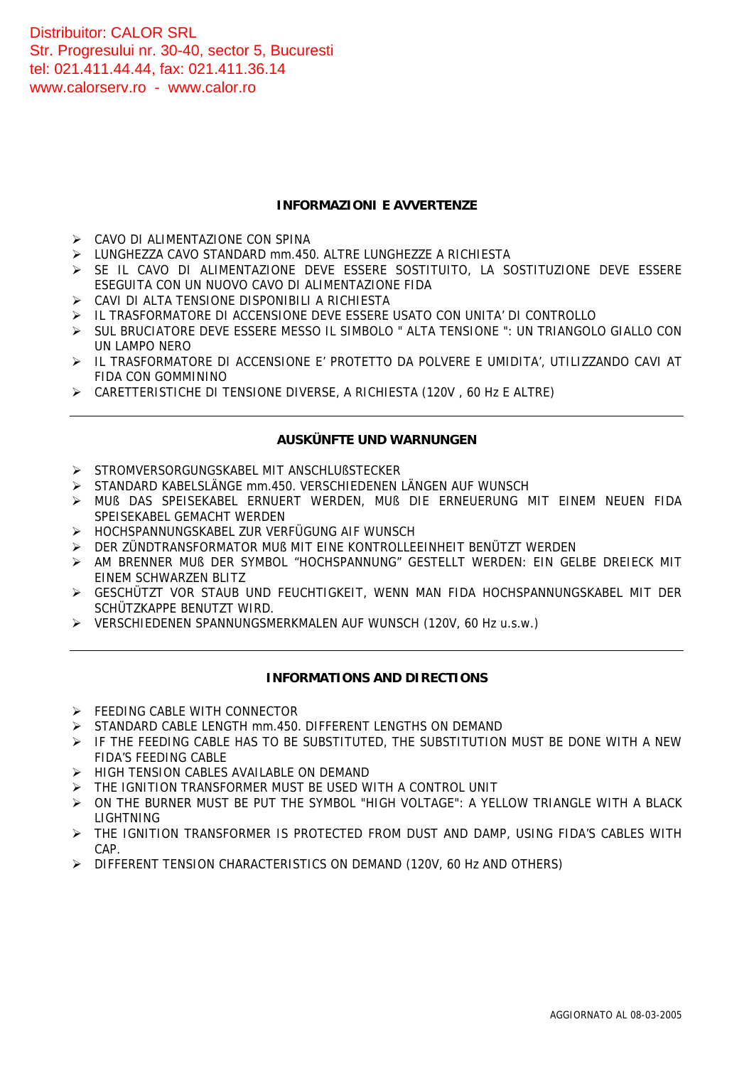Distribuitor: CALOR SRL Str. Progresului nr. 30-40, sector 5, Bucuresti tel: 021.411.44.44, fax: 021.411.36.14 <www.calorserv.ro>- <www.calor.ro>

#### **INFORMAZIONI E AVVERTENZE**

- ¾ CAVO DI ALIMENTAZIONE CON SPINA
- ¾ LUNGHEZZA CAVO STANDARD mm.450. ALTRE LUNGHEZZE A RICHIESTA
- ¾ SE IL CAVO DI ALIMENTAZIONE DEVE ESSERE SOSTITUITO, LA SOSTITUZIONE DEVE ESSERE ESEGUITA CON UN NUOVO CAVO DI ALIMENTAZIONE FIDA
- ¾ CAVI DI ALTA TENSIONE DISPONIBILI A RICHIESTA
- ¾ IL TRASFORMATORE DI ACCENSIONE DEVE ESSERE USATO CON UNITA' DI CONTROLLO
- ¾ SUL BRUCIATORE DEVE ESSERE MESSO IL SIMBOLO " ALTA TENSIONE ": UN TRIANGOLO GIALLO CON UN LAMPO NERO
- ¾ IL TRASFORMATORE DI ACCENSIONE E' PROTETTO DA POLVERE E UMIDITA', UTILIZZANDO CAVI AT FIDA CON GOMMININO
- ¾ CARETTERISTICHE DI TENSIONE DIVERSE, A RICHIESTA (120V , 60 Hz E ALTRE)

#### **AUSKÜNFTE UND WARNUNGEN**

- ¾ STROMVERSORGUNGSKABEL MIT ANSCHLUßSTECKER
- ¾ STANDARD KABELSLÄNGE mm.450. VERSCHIEDENEN LÄNGEN AUF WUNSCH
- ¾ MUß DAS SPEISEKABEL ERNUERT WERDEN, MUß DIE ERNEUERUNG MIT EINEM NEUEN FIDA SPEISEKABEL GEMACHT WERDEN
- ¾ HOCHSPANNUNGSKABEL ZUR VERFÜGUNG AIF WUNSCH
- ¾ DER ZÜNDTRANSFORMATOR MUß MIT EINE KONTROLLEEINHEIT BENÜTZT WERDEN
- ¾ AM BRENNER MUß DER SYMBOL "HOCHSPANNUNG" GESTELLT WERDEN: EIN GELBE DREIECK MIT EINEM SCHWARZEN BLITZ
- ¾ GESCHÜTZT VOR STAUB UND FEUCHTIGKEIT, WENN MAN FIDA HOCHSPANNUNGSKABEL MIT DER SCHÜTZKAPPE BENUTZT WIRD.
- ¾ VERSCHIEDENEN SPANNUNGSMERKMALEN AUF WUNSCH (120V, 60 Hz u.s.w.)

#### **INFORMATIONS AND DIRECTIONS**

- ¾ FEEDING CABLE WITH CONNECTOR
- ¾ STANDARD CABLE LENGTH mm.450. DIFFERENT LENGTHS ON DEMAND
- $\triangleright$  IF THE FEEDING CABLE HAS TO BE SUBSTITUTED, THE SUBSTITUTION MUST BE DONE WITH A NEW FIDA'S FEEDING CABLE
- ¾ HIGH TENSION CABLES AVAILABLE ON DEMAND
- ¾ THE IGNITION TRANSFORMER MUST BE USED WITH A CONTROL UNIT
- ¾ ON THE BURNER MUST BE PUT THE SYMBOL "HIGH VOLTAGE": A YELLOW TRIANGLE WITH A BLACK LIGHTNING
- ¾ THE IGNITION TRANSFORMER IS PROTECTED FROM DUST AND DAMP, USING FIDA'S CABLES WITH CAP.
- ¾ DIFFERENT TENSION CHARACTERISTICS ON DEMAND (120V, 60 Hz AND OTHERS)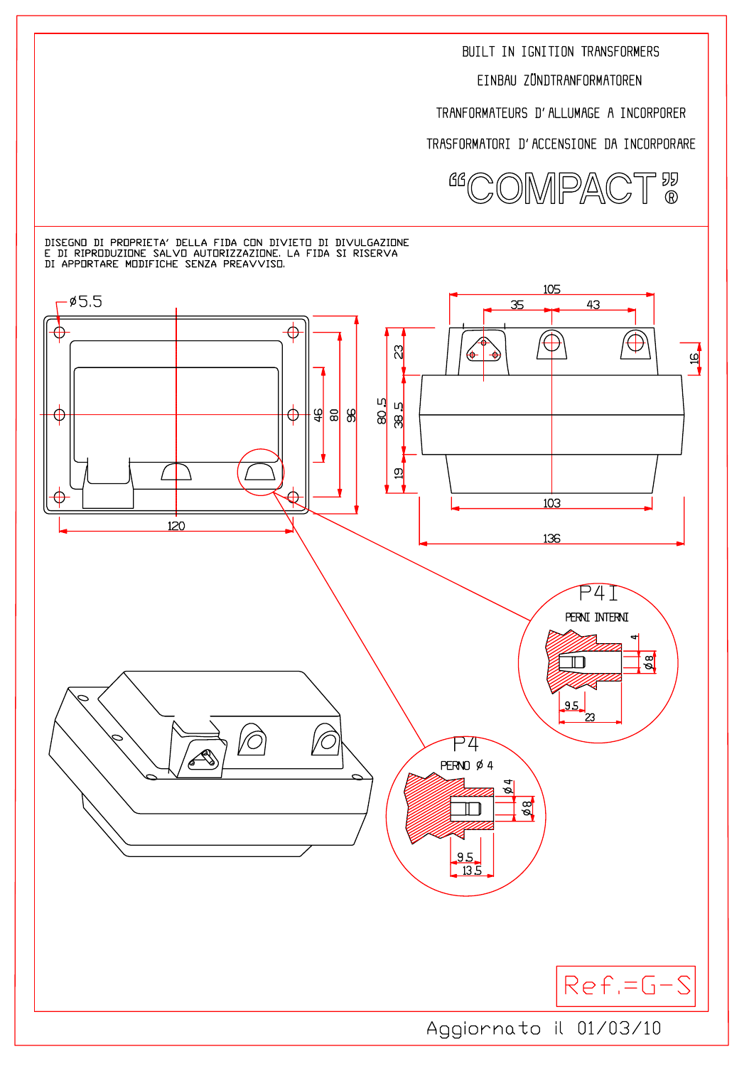EINBAU ZÜNDTRANFORMATOREN

TRANFORMATEURS D'ALLUMAGE A INCORPORER

TRASFORMATORI D'ACCENSIONE DA INCORPORARE



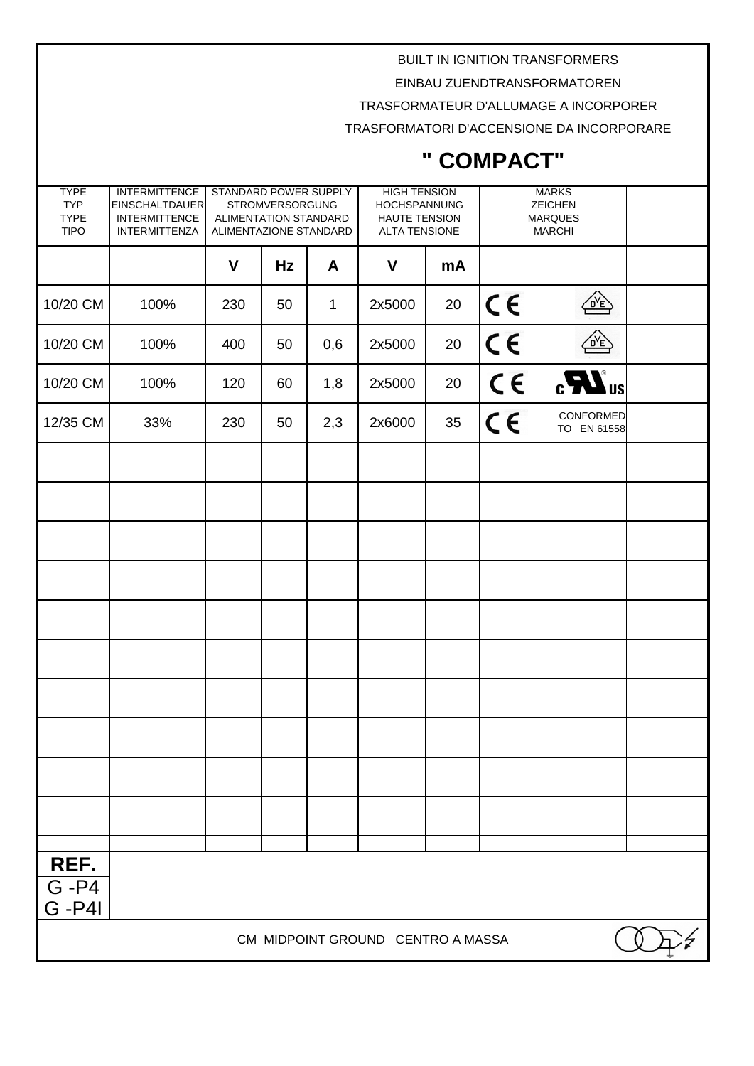EINBAU ZUENDTRANSFORMATOREN

TRASFORMATEUR D'ALLUMAGE A INCORPORER

TRASFORMATORI D'ACCENSIONE DA INCORPORARE

| <b>TYPE</b><br><b>TYP</b>         | <b>INTERMITTENCE</b><br><b>EINSCHALTDAUER</b> | STANDARD POWER SUPPLY<br><b>STROMVERSORGUNG</b> |    |              | <b>HIGH TENSION</b><br><b>HOCHSPANNUNG</b>   |    | <b>MARKS</b><br><b>ZEICHEN</b>  |                          |  |
|-----------------------------------|-----------------------------------------------|-------------------------------------------------|----|--------------|----------------------------------------------|----|---------------------------------|--------------------------|--|
| <b>TYPE</b><br><b>TIPO</b>        | <b>INTERMITTENCE</b><br><b>INTERMITTENZA</b>  | ALIMENTATION STANDARD<br>ALIMENTAZIONE STANDARD |    |              | <b>HAUTE TENSION</b><br><b>ALTA TENSIONE</b> |    | <b>MARQUES</b><br><b>MARCHI</b> |                          |  |
|                                   |                                               |                                                 |    |              |                                              |    |                                 |                          |  |
|                                   |                                               | $\mathsf{V}$                                    | Hz | A            | V                                            | mA |                                 |                          |  |
| 10/20 CM                          | 100%                                          | 230                                             | 50 | $\mathbf{1}$ | 2x5000                                       | 20 | $C \in$                         | $\frac{1}{\sqrt{D}}$     |  |
| 10/20 CM                          | 100%                                          | 400                                             | 50 | 0,6          | 2x5000                                       | 20 | C <sub>6</sub>                  | <u>NP</u>                |  |
| 10/20 CM                          | 100%                                          | 120                                             | 60 | 1,8          | 2x5000                                       | 20 | $C \in$                         | $_{c}H$ <sub>us</sub>    |  |
| 12/35 CM                          | 33%                                           | 230                                             | 50 | 2,3          | 2x6000                                       | 35 | $c \in$                         | CONFORMED<br>TO EN 61558 |  |
|                                   |                                               |                                                 |    |              |                                              |    |                                 |                          |  |
|                                   |                                               |                                                 |    |              |                                              |    |                                 |                          |  |
|                                   |                                               |                                                 |    |              |                                              |    |                                 |                          |  |
|                                   |                                               |                                                 |    |              |                                              |    |                                 |                          |  |
|                                   |                                               |                                                 |    |              |                                              |    |                                 |                          |  |
|                                   |                                               |                                                 |    |              |                                              |    |                                 |                          |  |
|                                   |                                               |                                                 |    |              |                                              |    |                                 |                          |  |
|                                   |                                               |                                                 |    |              |                                              |    |                                 |                          |  |
|                                   |                                               |                                                 |    |              |                                              |    |                                 |                          |  |
|                                   |                                               |                                                 |    |              |                                              |    |                                 |                          |  |
|                                   |                                               |                                                 |    |              |                                              |    |                                 |                          |  |
| REF.                              |                                               |                                                 |    |              |                                              |    |                                 |                          |  |
| $G - P4$<br><b>G-P4I</b>          |                                               |                                                 |    |              |                                              |    |                                 |                          |  |
| CM MIDPOINT GROUND CENTRO A MASSA |                                               |                                                 |    |              |                                              |    |                                 |                          |  |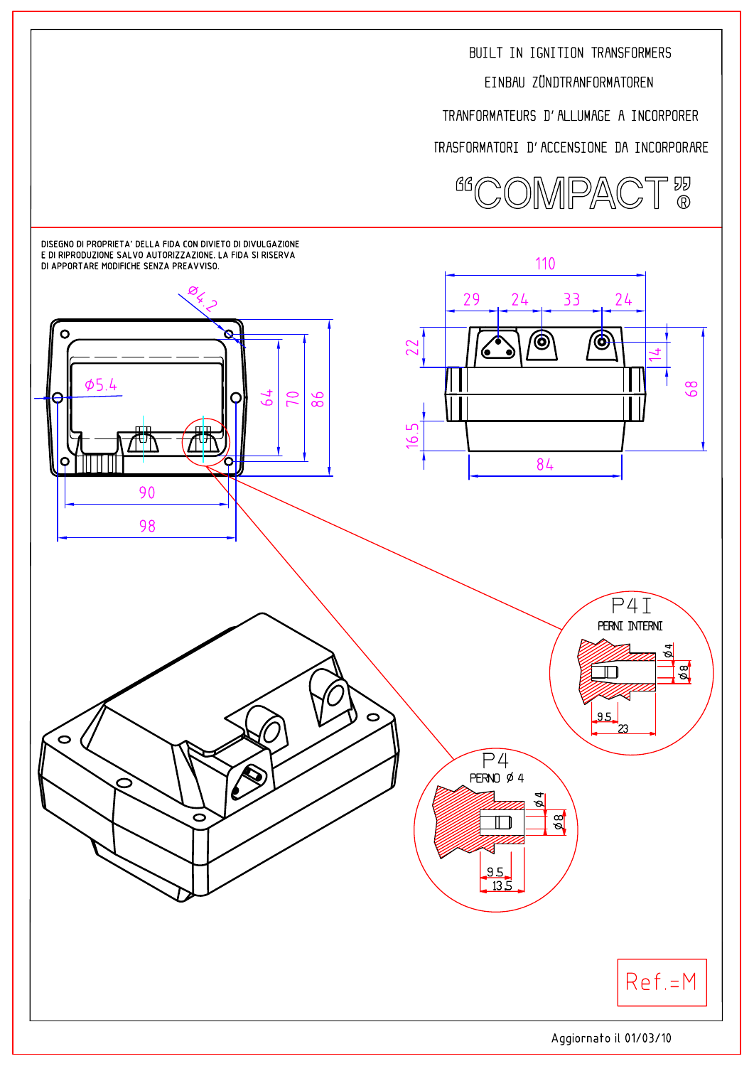

TRASFORMATORI D'ACCENSIONE DA INCORPORARE

TRANFORMATEURS D'ALLUMAGE A INCORPORER

EINBAU ZÜNDTRANFORMATOREN

BUILT IN IGNITION TRANSFORMERS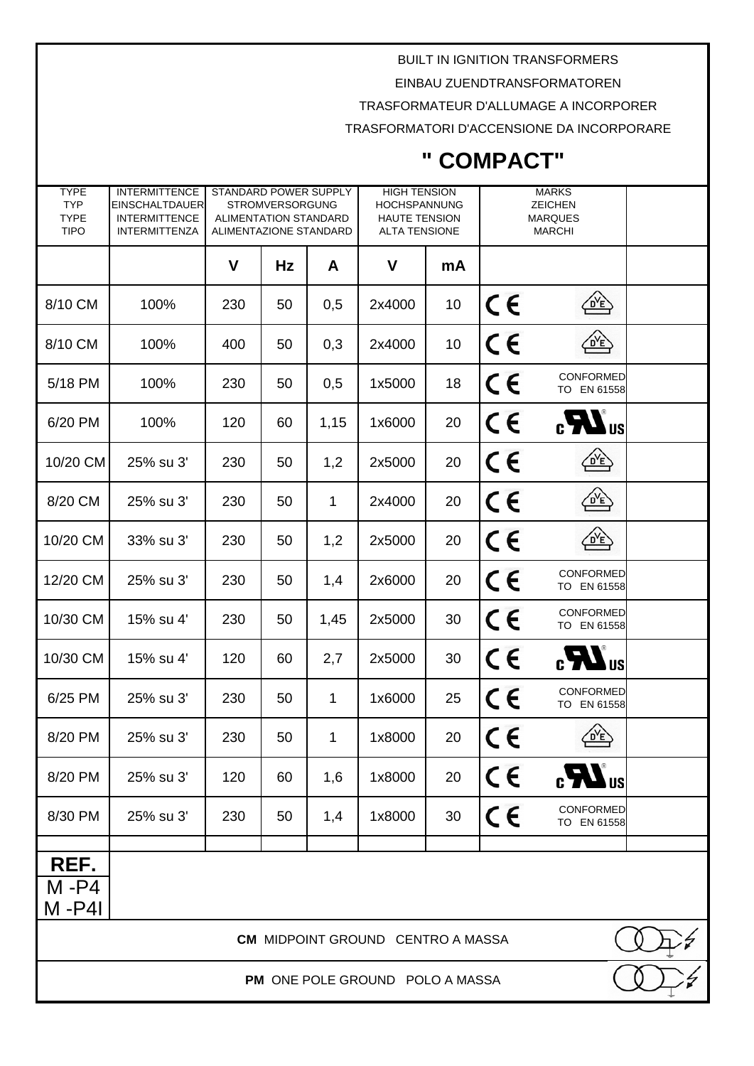EINBAU ZUENDTRANSFORMATOREN

TRASFORMATEUR D'ALLUMAGE A INCORPORER

TRASFORMATORI D'ACCENSIONE DA INCORPORARE

| <b>TYPE</b><br><b>TYP</b><br><b>TYPE</b><br><b>TIPO</b> | <b>INTERMITTENCE</b><br><b>EINSCHALTDAUER</b><br><b>INTERMITTENCE</b><br><b>INTERMITTENZA</b> | <b>STANDARD POWER SUPPLY</b><br>ALIMENTATION STANDARD<br>ALIMENTAZIONE STANDARD | <b>STROMVERSORGUNG</b> |              | <b>HIGH TENSION</b><br><b>HOCHSPANNUNG</b><br><b>HAUTE TENSION</b><br><b>ALTA TENSIONE</b> |    |                 | <b>MARKS</b><br><b>ZEICHEN</b><br><b>MARQUES</b><br><b>MARCHI</b> |  |
|---------------------------------------------------------|-----------------------------------------------------------------------------------------------|---------------------------------------------------------------------------------|------------------------|--------------|--------------------------------------------------------------------------------------------|----|-----------------|-------------------------------------------------------------------|--|
|                                                         |                                                                                               | V                                                                               | Hz                     | A            | V                                                                                          | mA |                 |                                                                   |  |
| 8/10 CM                                                 | 100%                                                                                          | 230                                                                             | 50                     | 0,5          | 2x4000                                                                                     | 10 | $\epsilon$      | <u>NE</u>                                                         |  |
| 8/10 CM                                                 | 100%                                                                                          | 400                                                                             | 50                     | 0,3          | 2x4000                                                                                     | 10 | CE              | 企                                                                 |  |
| 5/18 PM                                                 | 100%                                                                                          | 230                                                                             | 50                     | 0,5          | 1x5000                                                                                     | 18 | $C \in$         | CONFORMED<br>TO EN 61558                                          |  |
| 6/20 PM                                                 | 100%                                                                                          | 120                                                                             | 60                     | 1,15         | 1x6000                                                                                     | 20 | $C \in$         | $_{c}$ $\mathbf{W}_{us}$                                          |  |
| 10/20 CM                                                | 25% su 3'                                                                                     | 230                                                                             | 50                     | 1,2          | 2x5000                                                                                     | 20 | $\epsilon$      | 伦                                                                 |  |
| 8/20 CM                                                 | 25% su 3'                                                                                     | 230                                                                             | 50                     | $\mathbf{1}$ | 2x4000                                                                                     | 20 | $\epsilon$      | $\overbrace{\mathsf{D}'\mathsf{E}}$                               |  |
| 10/20 CM                                                | 33% su 3'                                                                                     | 230                                                                             | 50                     | 1,2          | 2x5000                                                                                     | 20 | CE              | $\frac{1}{\sqrt{D}}$                                              |  |
| 12/20 CM                                                | 25% su 3'                                                                                     | 230                                                                             | 50                     | 1,4          | 2x6000                                                                                     | 20 | CE              | CONFORMED<br>TO EN 61558                                          |  |
| 10/30 CM                                                | 15% su 4'                                                                                     | 230                                                                             | 50                     | 1,45         | 2x5000                                                                                     | 30 | $\epsilon$      | CONFORMED<br>TO EN 61558                                          |  |
| 10/30 CM                                                | 15% su 4'                                                                                     | 120                                                                             | 60                     | 2,7          | 2x5000                                                                                     | 30 | $\epsilon$      | $_{c}7U_{us}$                                                     |  |
| 6/25 PM                                                 | 25% su 3'                                                                                     | 230                                                                             | 50                     | $\mathbf 1$  | 1x6000                                                                                     | 25 | CE              | CONFORMED<br>TO EN 61558                                          |  |
| 8/20 PM                                                 | 25% su 3'                                                                                     | 230                                                                             | 50                     | 1            | 1x8000                                                                                     | 20 | $\epsilon$<br>C | DYE <sup>V</sup>                                                  |  |
| 8/20 PM                                                 | 25% su 3'                                                                                     | 120                                                                             | 60                     | 1,6          | 1x8000                                                                                     | 20 | $C \in$         | $\mathbf{c}$ $\mathbf{W}$ <sub>us</sub>                           |  |
| 8/30 PM                                                 | 25% su 3'                                                                                     | 230                                                                             | 50                     | 1,4          | 1x8000                                                                                     | 30 | $C \in$         | CONFORMED<br>TO EN 61558                                          |  |
| REF.                                                    |                                                                                               |                                                                                 |                        |              |                                                                                            |    |                 |                                                                   |  |
| $M - P4$                                                |                                                                                               |                                                                                 |                        |              |                                                                                            |    |                 |                                                                   |  |
| M-P4I                                                   |                                                                                               |                                                                                 |                        |              |                                                                                            |    |                 |                                                                   |  |
| <b>CM MIDPOINT GROUND CENTRO A MASSA</b>                |                                                                                               |                                                                                 |                        |              |                                                                                            |    |                 |                                                                   |  |
| PM ONE POLE GROUND POLO A MASSA                         |                                                                                               |                                                                                 |                        |              |                                                                                            |    |                 |                                                                   |  |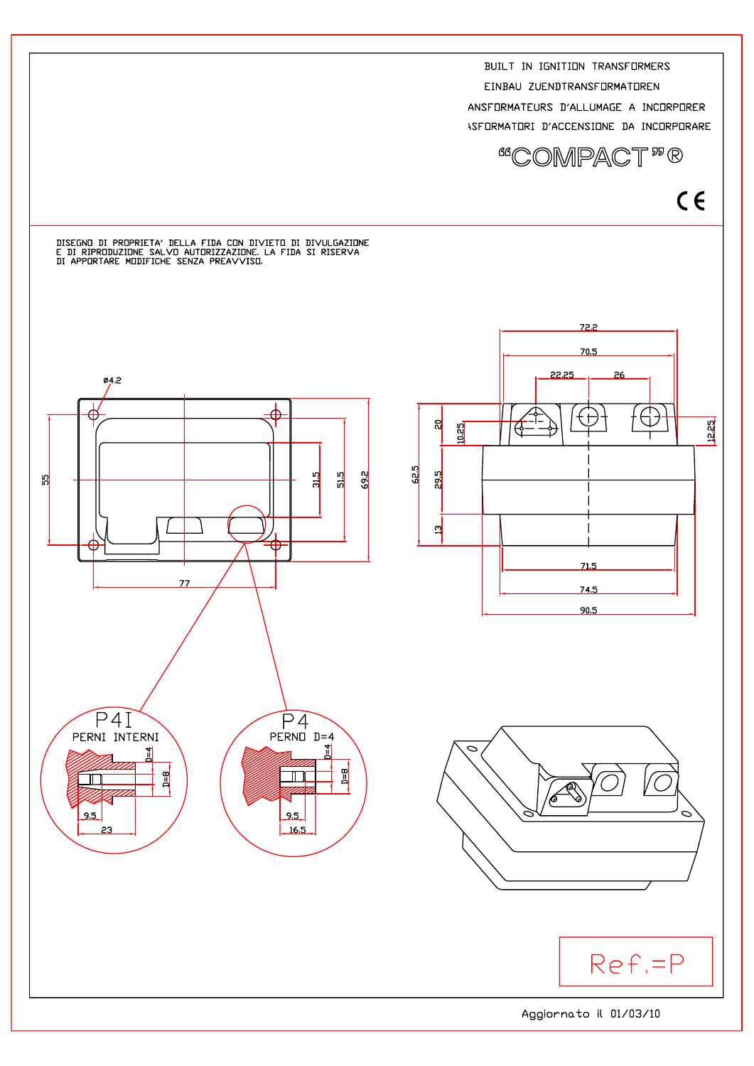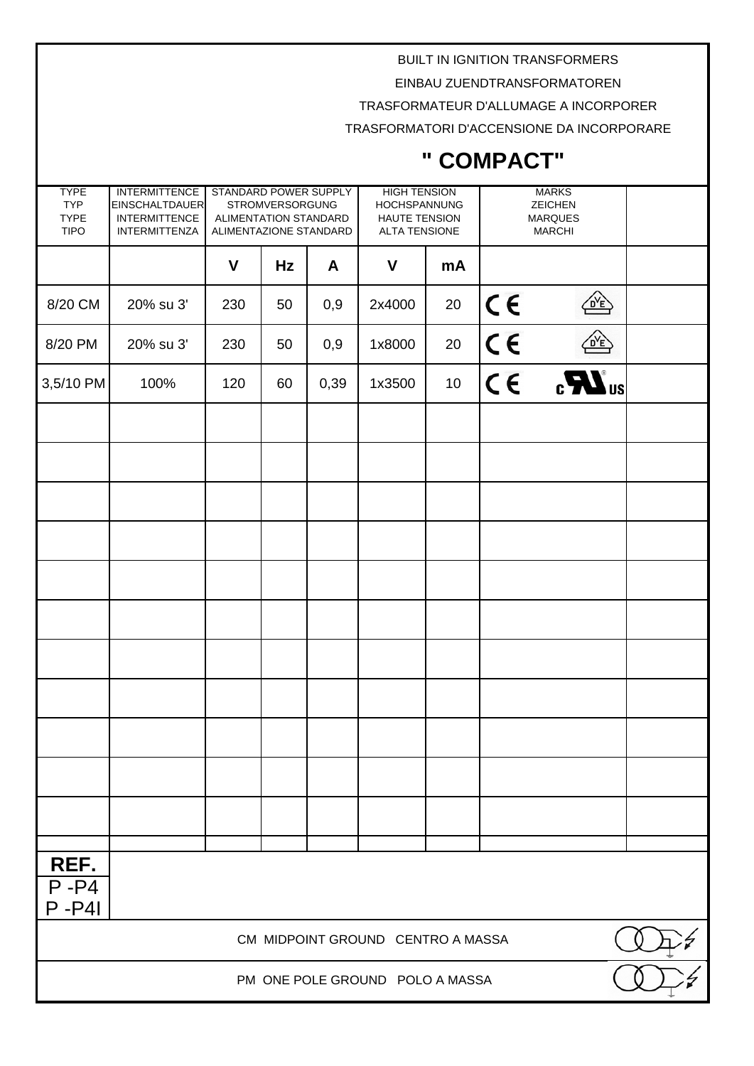EINBAU ZUENDTRANSFORMATOREN

TRASFORMATEUR D'ALLUMAGE A INCORPORER

TRASFORMATORI D'ACCENSIONE DA INCORPORARE

| <b>TYPE</b><br><b>TYP</b><br><b>TYPE</b><br><b>TIPO</b> | <b>INTERMITTENCE</b><br><b>EINSCHALTDAUER</b><br><b>INTERMITTENCE</b><br><b>INTERMITTENZA</b> | STANDARD POWER SUPPLY<br><b>STROMVERSORGUNG</b><br>ALIMENTATION STANDARD<br>ALIMENTAZIONE STANDARD |    | <b>HIGH TENSION</b> | HOCHSPANNUNG<br>HAUTE TENSION<br><b>ALTA TENSIONE</b> |    | <b>MARKS</b><br><b>ZEICHEN</b><br><b>MARQUES</b><br><b>MARCHI</b> |                       |  |
|---------------------------------------------------------|-----------------------------------------------------------------------------------------------|----------------------------------------------------------------------------------------------------|----|---------------------|-------------------------------------------------------|----|-------------------------------------------------------------------|-----------------------|--|
|                                                         |                                                                                               | V                                                                                                  | Hz | A                   | V                                                     | mA |                                                                   |                       |  |
| 8/20 CM                                                 | 20% su 3'                                                                                     | 230                                                                                                | 50 | 0,9                 | 2x4000                                                | 20 | $C \in$                                                           | $\frac{1}{\sqrt{2}}$  |  |
| 8/20 PM                                                 | 20% su 3'                                                                                     | 230                                                                                                | 50 | 0,9                 | 1x8000                                                | 20 | $C \in$                                                           | <u>OYE</u>            |  |
| 3,5/10 PM                                               | 100%                                                                                          | 120                                                                                                | 60 | 0,39                | 1x3500                                                | 10 | $C \in$                                                           | $_{c}H$ <sub>us</sub> |  |
|                                                         |                                                                                               |                                                                                                    |    |                     |                                                       |    |                                                                   |                       |  |
|                                                         |                                                                                               |                                                                                                    |    |                     |                                                       |    |                                                                   |                       |  |
|                                                         |                                                                                               |                                                                                                    |    |                     |                                                       |    |                                                                   |                       |  |
|                                                         |                                                                                               |                                                                                                    |    |                     |                                                       |    |                                                                   |                       |  |
|                                                         |                                                                                               |                                                                                                    |    |                     |                                                       |    |                                                                   |                       |  |
|                                                         |                                                                                               |                                                                                                    |    |                     |                                                       |    |                                                                   |                       |  |
|                                                         |                                                                                               |                                                                                                    |    |                     |                                                       |    |                                                                   |                       |  |
|                                                         |                                                                                               |                                                                                                    |    |                     |                                                       |    |                                                                   |                       |  |
|                                                         |                                                                                               |                                                                                                    |    |                     |                                                       |    |                                                                   |                       |  |
|                                                         |                                                                                               |                                                                                                    |    |                     |                                                       |    |                                                                   |                       |  |
|                                                         |                                                                                               |                                                                                                    |    |                     |                                                       |    |                                                                   |                       |  |
|                                                         |                                                                                               |                                                                                                    |    |                     |                                                       |    |                                                                   |                       |  |
| REF.<br>$P - P4$<br>$P - P4$                            |                                                                                               |                                                                                                    |    |                     |                                                       |    |                                                                   |                       |  |
|                                                         |                                                                                               |                                                                                                    |    |                     | CM MIDPOINT GROUND CENTRO A MASSA                     |    |                                                                   |                       |  |
| PM ONE POLE GROUND POLO A MASSA                         |                                                                                               |                                                                                                    |    |                     |                                                       |    |                                                                   |                       |  |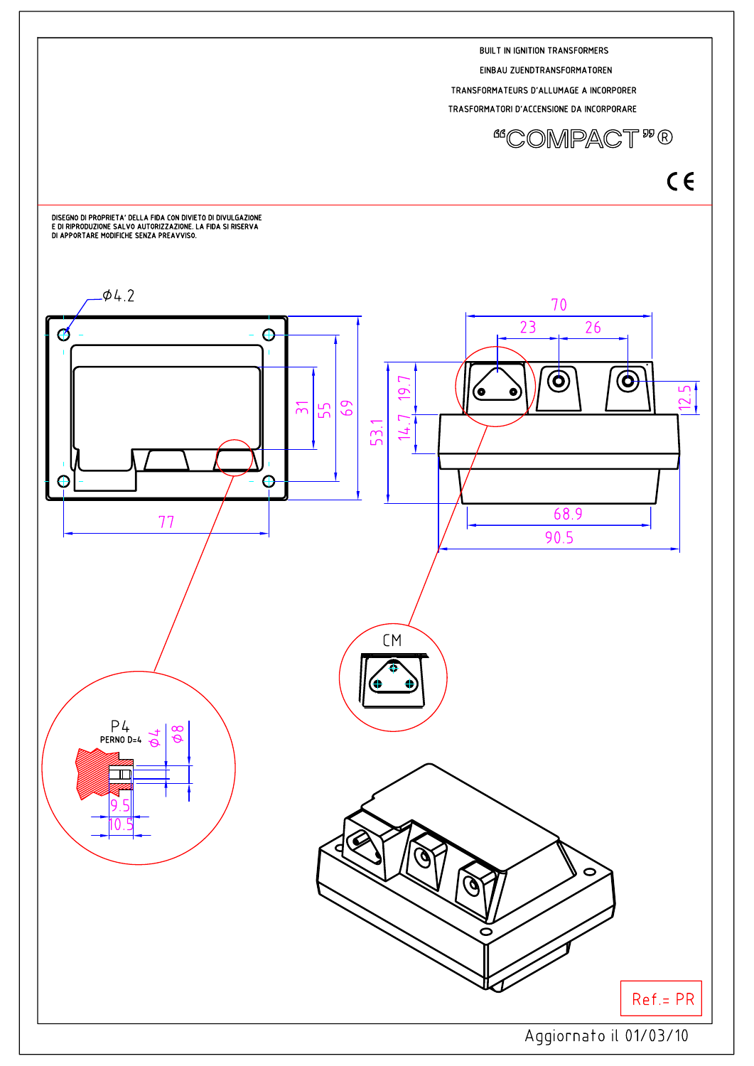





EINBAU ZUENDTRANSFORMATOREN TRANSFORMATEURS D'ALLUMAGE A INCORPORER TRASFORMATORI D'ACCENSIONE DA INCORPORARE

**BUILT IN IGNITION TRANSFORMERS**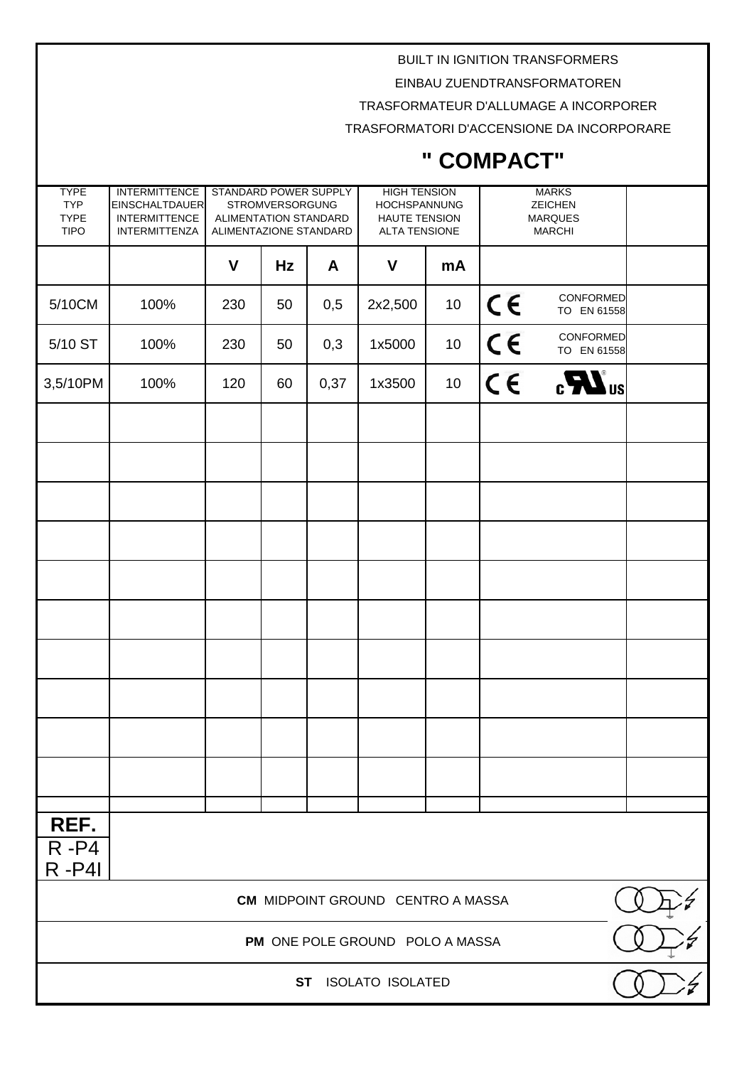EINBAU ZUENDTRANSFORMATOREN

TRASFORMATEUR D'ALLUMAGE A INCORPORER

TRASFORMATORI D'ACCENSIONE DA INCORPORARE

| <b>TYPE</b><br><b>TYP</b><br><b>TYPE</b><br><b>TIPO</b> | <b>INTERMITTENCE</b><br><b>EINSCHALTDAUER</b><br><b>INTERMITTENCE</b><br><b>INTERMITTENZA</b> | STANDARD POWER SUPPLY<br><b>STROMVERSORGUNG</b><br>ALIMENTATION STANDARD<br>ALIMENTAZIONE STANDARD |    |      | <b>HIGH TENSION</b><br>HOCHSPANNUNG<br><b>HAUTE TENSION</b><br><b>ALTA TENSIONE</b> |    | <b>MARKS</b><br><b>ZEICHEN</b><br><b>MARQUES</b><br><b>MARCHI</b> |                          |
|---------------------------------------------------------|-----------------------------------------------------------------------------------------------|----------------------------------------------------------------------------------------------------|----|------|-------------------------------------------------------------------------------------|----|-------------------------------------------------------------------|--------------------------|
|                                                         |                                                                                               | $\mathsf{V}$                                                                                       | Hz | A    | $\mathbf v$                                                                         | mA |                                                                   |                          |
| 5/10CM                                                  | 100%                                                                                          | 230                                                                                                | 50 | 0,5  | 2x2,500                                                                             | 10 | $C \in$                                                           | CONFORMED<br>TO EN 61558 |
| 5/10 ST                                                 | 100%                                                                                          | 230                                                                                                | 50 | 0,3  | 1x5000                                                                              | 10 | $C \in$                                                           | CONFORMED<br>TO EN 61558 |
| 3,5/10PM                                                | 100%                                                                                          | 120                                                                                                | 60 | 0,37 | 1x3500                                                                              | 10 | $C \in$                                                           | $_{c}$ $\mathbf{W}_{us}$ |
|                                                         |                                                                                               |                                                                                                    |    |      |                                                                                     |    |                                                                   |                          |
|                                                         |                                                                                               |                                                                                                    |    |      |                                                                                     |    |                                                                   |                          |
|                                                         |                                                                                               |                                                                                                    |    |      |                                                                                     |    |                                                                   |                          |
|                                                         |                                                                                               |                                                                                                    |    |      |                                                                                     |    |                                                                   |                          |
|                                                         |                                                                                               |                                                                                                    |    |      |                                                                                     |    |                                                                   |                          |
|                                                         |                                                                                               |                                                                                                    |    |      |                                                                                     |    |                                                                   |                          |
|                                                         |                                                                                               |                                                                                                    |    |      |                                                                                     |    |                                                                   |                          |
|                                                         |                                                                                               |                                                                                                    |    |      |                                                                                     |    |                                                                   |                          |
|                                                         |                                                                                               |                                                                                                    |    |      |                                                                                     |    |                                                                   |                          |
|                                                         |                                                                                               |                                                                                                    |    |      |                                                                                     |    |                                                                   |                          |
| REF.                                                    |                                                                                               |                                                                                                    |    |      |                                                                                     |    |                                                                   |                          |
| $R - P4$<br>$R - P4I$                                   |                                                                                               |                                                                                                    |    |      |                                                                                     |    |                                                                   |                          |
| <b>CM MIDPOINT GROUND CENTRO A MASSA</b>                |                                                                                               |                                                                                                    |    |      |                                                                                     |    |                                                                   |                          |
| PM ONE POLE GROUND POLO A MASSA                         |                                                                                               |                                                                                                    |    |      |                                                                                     |    |                                                                   |                          |
| <b>ISOLATO ISOLATED</b><br><b>ST</b>                    |                                                                                               |                                                                                                    |    |      |                                                                                     |    |                                                                   |                          |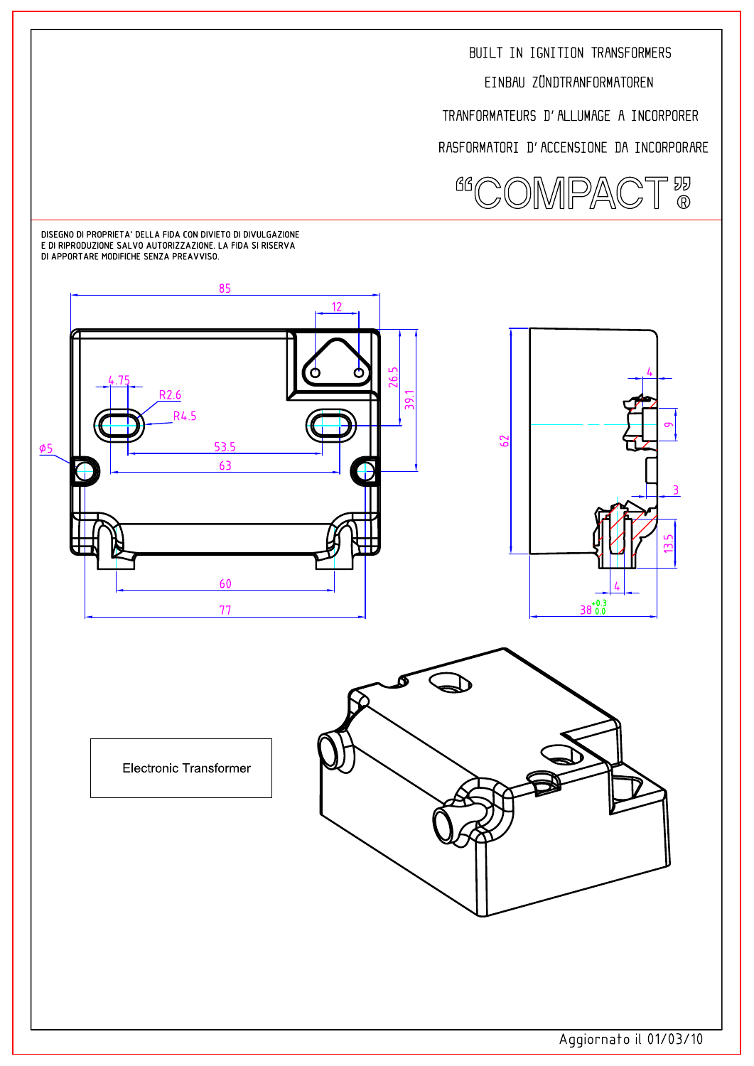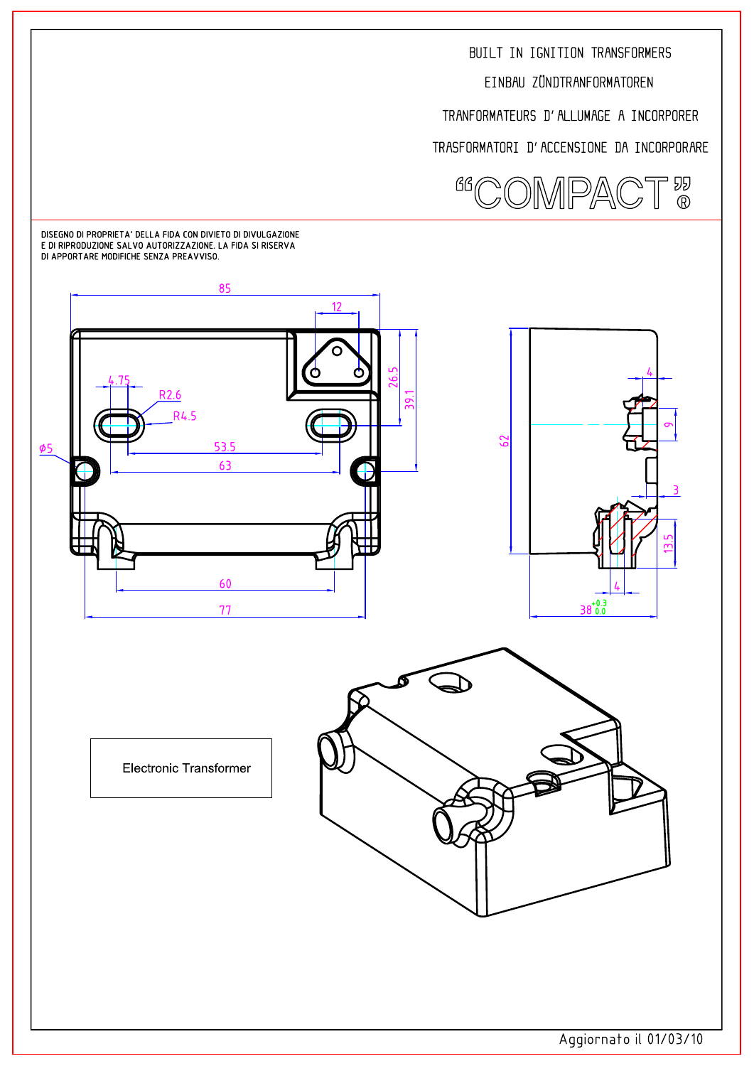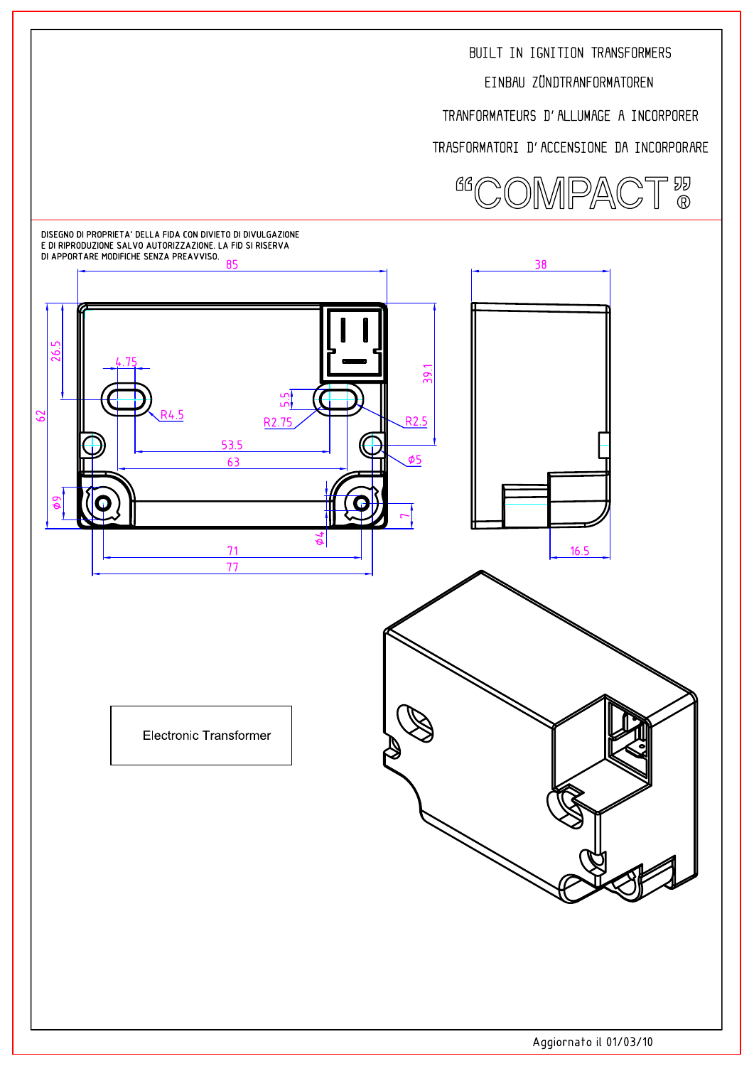